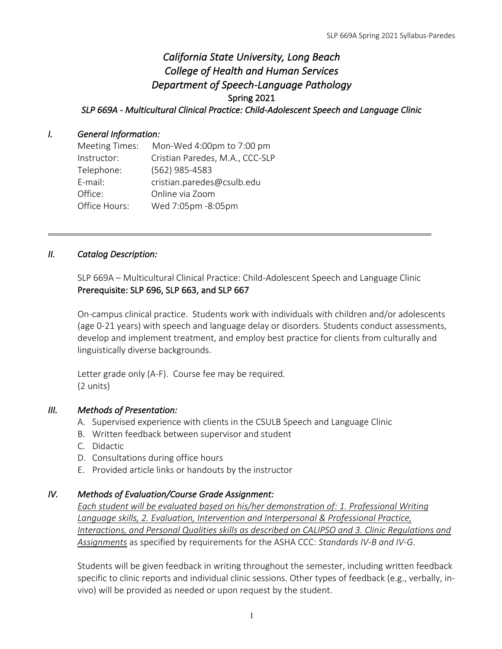# *California State University, Long Beach College of Health and Human Services Department of Speech-Language Pathology*  Spring 2021 *SLP 669A - Multicultural Clinical Practice: Child-Adolescent Speech and Language Clinic*

### *I. General Information:*

| <b>Meeting Times:</b> | Mon-Wed 4:00pm to 7:00 pm       |
|-----------------------|---------------------------------|
| Instructor:           | Cristian Paredes, M.A., CCC-SLP |
| Telephone:            | (562) 985-4583                  |
| E-mail:               | cristian.paredes@csulb.edu      |
| Office:               | Online via Zoom                 |
| Office Hours:         | Wed 7:05pm -8:05pm              |

### *II. Catalog Description:*

SLP 669A – Multicultural Clinical Practice: Child-Adolescent Speech and Language Clinic Prerequisite: SLP 696, SLP 663, and SLP 667

On-campus clinical practice. Students work with individuals with children and/or adolescents (age 0-21 years) with speech and language delay or disorders. Students conduct assessments, develop and implement treatment, and employ best practice for clients from culturally and linguistically diverse backgrounds.

Letter grade only (A-F). Course fee may be required. (2 units)

#### *III. Methods of Presentation:*

- A. Supervised experience with clients in the CSULB Speech and Language Clinic
- B. Written feedback between supervisor and student
- C. Didactic
- D. Consultations during office hours
- E. Provided article links or handouts by the instructor

#### *IV. Methods of Evaluation/Course Grade Assignment:*

*Each student will be evaluated based on his/her demonstration of: 1. Professional Writing Language skills, 2. Evaluation, Intervention and Interpersonal & Professional Practice, Interactions, and Personal Qualities skills as described on CALIPSO and 3. Clinic Regulations and Assignments* as specified by requirements for the ASHA CCC: *Standards IV-B and IV-G*.

Students will be given feedback in writing throughout the semester, including written feedback specific to clinic reports and individual clinic sessions. Other types of feedback (e.g., verbally, invivo) will be provided as needed or upon request by the student.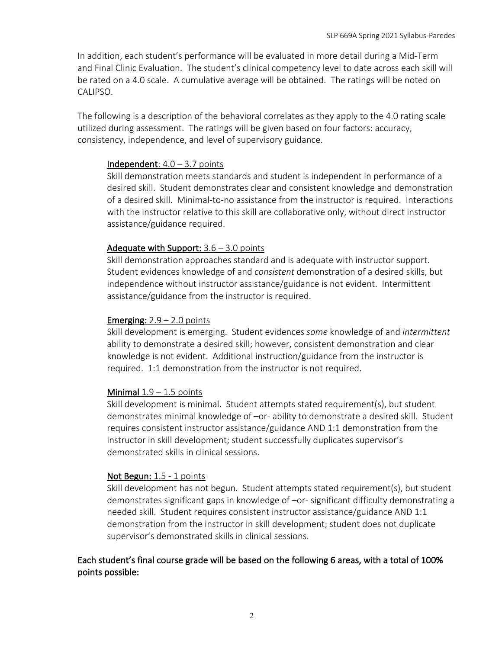In addition, each student's performance will be evaluated in more detail during a Mid-Term and Final Clinic Evaluation. The student's clinical competency level to date across each skill will be rated on a 4.0 scale. A cumulative average will be obtained. The ratings will be noted on CALIPSO.

The following is a description of the behavioral correlates as they apply to the 4.0 rating scale utilized during assessment. The ratings will be given based on four factors: accuracy, consistency, independence, and level of supervisory guidance.

### Independent:  $4.0 - 3.7$  points

Skill demonstration meets standards and student is independent in performance of a desired skill. Student demonstrates clear and consistent knowledge and demonstration of a desired skill. Minimal-to-no assistance from the instructor is required. Interactions with the instructor relative to this skill are collaborative only, without direct instructor assistance/guidance required.

### Adequate with Support:  $3.6 - 3.0$  points

Skill demonstration approaches standard and is adequate with instructor support. Student evidences knowledge of and *consistent* demonstration of a desired skills, but independence without instructor assistance/guidance is not evident. Intermittent assistance/guidance from the instructor is required.

### **Emerging:**  $2.9 - 2.0$  points

Skill development is emerging. Student evidences *some* knowledge of and *intermittent* ability to demonstrate a desired skill; however, consistent demonstration and clear knowledge is not evident. Additional instruction/guidance from the instructor is required. 1:1 demonstration from the instructor is not required.

#### Minimal  $1.9 - 1.5$  points

Skill development is minimal. Student attempts stated requirement(s), but student demonstrates minimal knowledge of –or- ability to demonstrate a desired skill. Student requires consistent instructor assistance/guidance AND 1:1 demonstration from the instructor in skill development; student successfully duplicates supervisor's demonstrated skills in clinical sessions.

#### Not Begun: 1.5 - 1 points

Skill development has not begun. Student attempts stated requirement(s), but student demonstrates significant gaps in knowledge of –or- significant difficulty demonstrating a needed skill. Student requires consistent instructor assistance/guidance AND 1:1 demonstration from the instructor in skill development; student does not duplicate supervisor's demonstrated skills in clinical sessions.

### Each student's final course grade will be based on the following 6 areas, with a total of 100% points possible: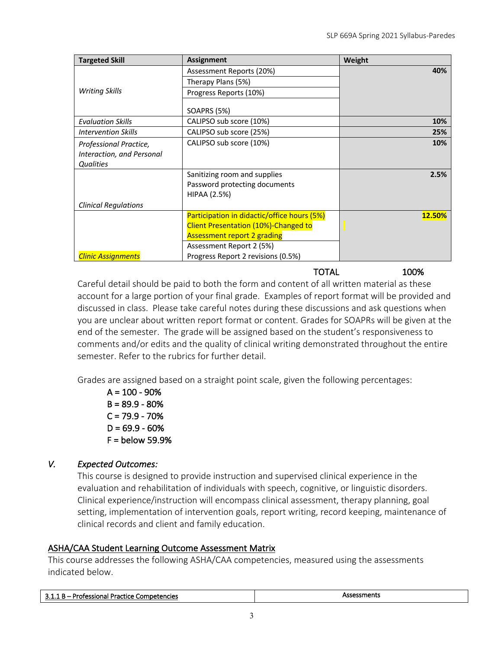| <b>Targeted Skill</b>       | <b>Assignment</b>                           | Weight |
|-----------------------------|---------------------------------------------|--------|
|                             | Assessment Reports (20%)                    | 40%    |
|                             | Therapy Plans (5%)                          |        |
| <b>Writing Skills</b>       | Progress Reports (10%)                      |        |
|                             | <b>SOAPRS (5%)</b>                          |        |
| <b>Evaluation Skills</b>    | CALIPSO sub score (10%)                     | 10%    |
| <b>Intervention Skills</b>  | CALIPSO sub score (25%)                     | 25%    |
| Professional Practice,      | CALIPSO sub score (10%)                     | 10%    |
| Interaction, and Personal   |                                             |        |
| <b>Qualities</b>            |                                             |        |
|                             | Sanitizing room and supplies                | 2.5%   |
|                             | Password protecting documents               |        |
|                             | <b>HIPAA (2.5%)</b>                         |        |
| <b>Clinical Regulations</b> |                                             |        |
|                             | Participation in didactic/office hours (5%) | 12.50% |
|                             | <b>Client Presentation (10%)-Changed to</b> |        |
|                             | <b>Assessment report 2 grading</b>          |        |
|                             | Assessment Report 2 (5%)                    |        |
| <b>Clinic Assignments</b>   | Progress Report 2 revisions (0.5%)          |        |

TOTAL 100%

Careful detail should be paid to both the form and content of all written material as these account for a large portion of your final grade. Examples of report format will be provided and discussed in class. Please take careful notes during these discussions and ask questions when you are unclear about written report format or content. Grades for SOAPRs will be given at the end of the semester. The grade will be assigned based on the student's responsiveness to comments and/or edits and the quality of clinical writing demonstrated throughout the entire semester. Refer to the rubrics for further detail.

Grades are assigned based on a straight point scale, given the following percentages:

 $A = 100 - 90%$  $B = 89.9 - 80%$  $C = 79.9 - 70%$  $D = 69.9 - 60%$  $F =$  below 59.9%

### *V. Expected Outcomes:*

This course is designed to provide instruction and supervised clinical experience in the evaluation and rehabilitation of individuals with speech, cognitive, or linguistic disorders. Clinical experience/instruction will encompass clinical assessment, therapy planning, goal setting, implementation of intervention goals, report writing, record keeping, maintenance of clinical records and client and family education.

### ASHA/CAA Student Learning Outcome Assessment Matrix

This course addresses the following ASHA/CAA competencies, measured using the assessments indicated below.

|--|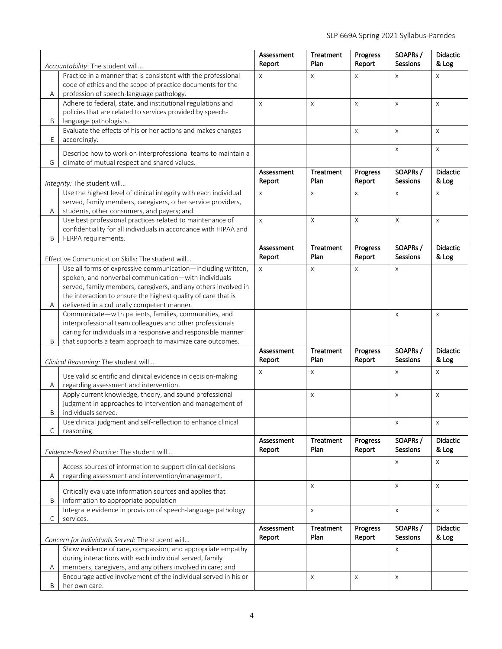| Accountability: The student will                                                                                            |                                                                                                                  | Assessment<br>Report | Treatment<br>Plan         | Progress<br>Report | SOAPRs/<br>Sessions        | Didactic<br>& Log        |
|-----------------------------------------------------------------------------------------------------------------------------|------------------------------------------------------------------------------------------------------------------|----------------------|---------------------------|--------------------|----------------------------|--------------------------|
| Practice in a manner that is consistent with the professional<br>code of ethics and the scope of practice documents for the |                                                                                                                  | $\pmb{\times}$       | $\pmb{\times}$            | X                  | $\times$                   | X                        |
| profession of speech-language pathology.<br>Α<br>Adhere to federal, state, and institutional regulations and                |                                                                                                                  | $\mathsf{x}$         | $\pmb{\times}$            | X                  | $\pmb{\times}$             | $\pmb{\times}$           |
|                                                                                                                             | policies that are related to services provided by speech-                                                        |                      |                           |                    |                            |                          |
| B                                                                                                                           | language pathologists.                                                                                           |                      |                           |                    |                            |                          |
| Evaluate the effects of his or her actions and makes changes<br>E<br>accordingly.                                           |                                                                                                                  |                      |                           | X                  | $\mathsf X$                | X                        |
| G                                                                                                                           | Describe how to work on interprofessional teams to maintain a<br>climate of mutual respect and shared values.    |                      |                           |                    | $\pmb{\times}$             | $\mathsf{X}$             |
|                                                                                                                             | Integrity: The student will                                                                                      | Assessment<br>Report | Treatment<br>Plan         | Progress<br>Report | SOAPRs/<br>Sessions        | <b>Didactic</b><br>& Log |
|                                                                                                                             | Use the highest level of clinical integrity with each individual                                                 | $\pmb{\times}$       | X                         | X                  | X                          | X                        |
|                                                                                                                             | served, family members, caregivers, other service providers,                                                     |                      |                           |                    |                            |                          |
| Α                                                                                                                           | students, other consumers, and payers; and<br>Use best professional practices related to maintenance of          | $\pmb{\times}$       | $\mathsf X$               | $\mathsf{X}$       | $\mathsf X$                | $\mathsf X$              |
|                                                                                                                             | confidentiality for all individuals in accordance with HIPAA and                                                 |                      |                           |                    |                            |                          |
| B                                                                                                                           | FERPA requirements.                                                                                              |                      |                           |                    |                            |                          |
|                                                                                                                             |                                                                                                                  | Assessment<br>Report | Treatment<br>Plan         | Progress<br>Report | SOAPRs/<br>Sessions        | Didactic<br>& Log        |
|                                                                                                                             | Effective Communication Skills: The student will<br>Use all forms of expressive communication-including written, | $\mathsf{x}$         | $\mathsf{x}$              | X                  | $\mathsf{X}$               |                          |
|                                                                                                                             | spoken, and nonverbal communication-with individuals                                                             |                      |                           |                    |                            |                          |
|                                                                                                                             | served, family members, caregivers, and any others involved in                                                   |                      |                           |                    |                            |                          |
|                                                                                                                             | the interaction to ensure the highest quality of care that is                                                    |                      |                           |                    |                            |                          |
| Α                                                                                                                           | delivered in a culturally competent manner.                                                                      |                      |                           |                    |                            |                          |
| Communicate-with patients, families, communities, and<br>interprofessional team colleagues and other professionals          |                                                                                                                  |                      |                           |                    | $\pmb{\times}$             | X                        |
| caring for individuals in a responsive and responsible manner                                                               |                                                                                                                  |                      |                           |                    |                            |                          |
| B                                                                                                                           | that supports a team approach to maximize care outcomes.                                                         |                      |                           |                    |                            |                          |
|                                                                                                                             |                                                                                                                  | Assessment           | Treatment                 | Progress           | SOAPRs/                    | Didactic                 |
|                                                                                                                             | Clinical Reasoning: The student will                                                                             | Report               | Plan                      | Report             | <b>Sessions</b>            | & Log                    |
| Α                                                                                                                           | Use valid scientific and clinical evidence in decision-making<br>regarding assessment and intervention.          | $\mathsf{x}$         | $\mathsf{x}$              |                    | $\pmb{\times}$             | X                        |
| Apply current knowledge, theory, and sound professional                                                                     |                                                                                                                  |                      | $\boldsymbol{\mathsf{X}}$ |                    | X                          | X                        |
|                                                                                                                             | judgment in approaches to intervention and management of                                                         |                      |                           |                    |                            |                          |
| B                                                                                                                           | individuals served.<br>Use clinical judgment and self-reflection to enhance clinical                             |                      |                           |                    | $\pmb{\times}$             | X                        |
| С<br>reasoning.                                                                                                             |                                                                                                                  |                      |                           |                    |                            |                          |
| Evidence-Based Practice: The student will                                                                                   |                                                                                                                  | Assessment<br>Report | Treatment<br>Plan         | Progress<br>Report | SOAPRs/<br><b>Sessions</b> | <b>Didactic</b><br>& Log |
|                                                                                                                             | Access sources of information to support clinical decisions                                                      |                      |                           |                    | $\times$                   | X                        |
| Α                                                                                                                           | regarding assessment and intervention/management,                                                                |                      |                           |                    |                            |                          |
|                                                                                                                             |                                                                                                                  |                      | $\boldsymbol{\mathsf{X}}$ |                    | $\pmb{\times}$             | X                        |
| Critically evaluate information sources and applies that<br>information to appropriate population<br>Β                      |                                                                                                                  |                      |                           |                    |                            |                          |
| Integrate evidence in provision of speech-language pathology<br>C<br>services.                                              |                                                                                                                  |                      | $\pmb{\times}$            |                    | $\pmb{\times}$             | X                        |
|                                                                                                                             |                                                                                                                  | Assessment           | Treatment                 | Progress           | SOAPRs/                    | <b>Didactic</b>          |
| Concern for Individuals Served: The student will                                                                            |                                                                                                                  | Report               | Plan                      | Report             | Sessions                   | & Log                    |
| Show evidence of care, compassion, and appropriate empathy                                                                  |                                                                                                                  |                      |                           |                    | $\pmb{\times}$             |                          |
| during interactions with each individual served, family                                                                     |                                                                                                                  |                      |                           |                    |                            |                          |
| Α                                                                                                                           | members, caregivers, and any others involved in care; and                                                        |                      | X                         | X                  | X                          |                          |
| Encourage active involvement of the individual served in his or<br>B<br>her own care.                                       |                                                                                                                  |                      |                           |                    |                            |                          |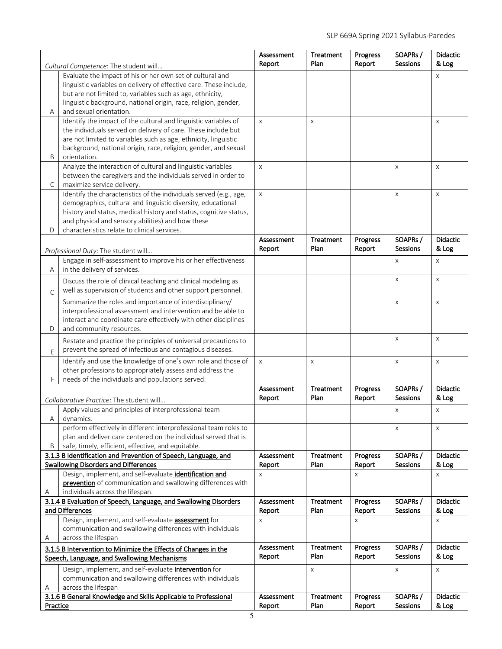|                                                                        |                                                                                                                                 | Assessment<br>Report | Treatment<br>Plan | Progress<br>Report | SOAPRs/<br>Sessions | Didactic<br>& Log |
|------------------------------------------------------------------------|---------------------------------------------------------------------------------------------------------------------------------|----------------------|-------------------|--------------------|---------------------|-------------------|
| Cultural Competence: The student will                                  |                                                                                                                                 |                      |                   |                    |                     |                   |
| Evaluate the impact of his or her own set of cultural and              |                                                                                                                                 |                      |                   |                    |                     | X                 |
|                                                                        | linguistic variables on delivery of effective care. These include,<br>but are not limited to, variables such as age, ethnicity, |                      |                   |                    |                     |                   |
|                                                                        | linguistic background, national origin, race, religion, gender,                                                                 |                      |                   |                    |                     |                   |
| Α                                                                      | and sexual orientation.                                                                                                         |                      |                   |                    |                     |                   |
| Identify the impact of the cultural and linguistic variables of        |                                                                                                                                 | $\pmb{\times}$       | $\pmb{\times}$    |                    |                     | X                 |
|                                                                        | the individuals served on delivery of care. These include but                                                                   |                      |                   |                    |                     |                   |
|                                                                        | are not limited to variables such as age, ethnicity, linguistic                                                                 |                      |                   |                    |                     |                   |
|                                                                        | background, national origin, race, religion, gender, and sexual                                                                 |                      |                   |                    |                     |                   |
| B                                                                      | orientation.                                                                                                                    |                      |                   |                    |                     |                   |
|                                                                        | Analyze the interaction of cultural and linguistic variables                                                                    | $\pmb{\times}$       |                   |                    | X                   | X                 |
|                                                                        | between the caregivers and the individuals served in order to                                                                   |                      |                   |                    |                     |                   |
| $\mathsf{C}$                                                           | maximize service delivery.                                                                                                      |                      |                   |                    |                     |                   |
|                                                                        | Identify the characteristics of the individuals served (e.g., age,                                                              | X                    |                   |                    | $\pmb{\times}$      | $\pmb{\times}$    |
|                                                                        | demographics, cultural and linguistic diversity, educational                                                                    |                      |                   |                    |                     |                   |
|                                                                        | history and status, medical history and status, cognitive status,                                                               |                      |                   |                    |                     |                   |
| D                                                                      | and physical and sensory abilities) and how these<br>characteristics relate to clinical services.                               |                      |                   |                    |                     |                   |
|                                                                        |                                                                                                                                 | Assessment           | <b>Treatment</b>  | Progress           | SOAPRs/             | <b>Didactic</b>   |
|                                                                        |                                                                                                                                 | Report               | Plan              | Report             | <b>Sessions</b>     | & Log             |
|                                                                        | Professional Duty: The student will<br>Engage in self-assessment to improve his or her effectiveness                            |                      |                   |                    | $\times$            | X                 |
| A                                                                      | in the delivery of services.                                                                                                    |                      |                   |                    |                     |                   |
|                                                                        | Discuss the role of clinical teaching and clinical modeling as                                                                  |                      |                   |                    | $\times$            | $\times$          |
|                                                                        | well as supervision of students and other support personnel.                                                                    |                      |                   |                    |                     |                   |
| $\mathsf{C}$                                                           |                                                                                                                                 |                      |                   |                    |                     |                   |
|                                                                        | Summarize the roles and importance of interdisciplinary/<br>interprofessional assessment and intervention and be able to        |                      |                   |                    | $\pmb{\times}$      | X                 |
|                                                                        | interact and coordinate care effectively with other disciplines                                                                 |                      |                   |                    |                     |                   |
| D                                                                      | and community resources.                                                                                                        |                      |                   |                    |                     |                   |
|                                                                        | Restate and practice the principles of universal precautions to                                                                 |                      |                   |                    | $\times$            | X                 |
| prevent the spread of infectious and contagious diseases.<br>E         |                                                                                                                                 |                      |                   |                    |                     |                   |
| Identify and use the knowledge of one's own role and those of          |                                                                                                                                 |                      |                   |                    |                     |                   |
| other professions to appropriately assess and address the              |                                                                                                                                 | X                    | X                 |                    | $\pmb{\times}$      | X                 |
| F<br>needs of the individuals and populations served.                  |                                                                                                                                 |                      |                   |                    |                     |                   |
|                                                                        |                                                                                                                                 | Assessment           | Treatment         | Progress           | SOAPRs/             | <b>Didactic</b>   |
|                                                                        | Collaborative Practice: The student will                                                                                        | Report               | Plan              | Report             | <b>Sessions</b>     | & Log             |
|                                                                        | Apply values and principles of interprofessional team                                                                           |                      |                   |                    | Χ                   | X                 |
| A<br>dynamics.                                                         |                                                                                                                                 |                      |                   |                    |                     |                   |
|                                                                        | perform effectively in different interprofessional team roles to                                                                |                      |                   |                    | X                   | X                 |
|                                                                        | plan and deliver care centered on the individual served that is                                                                 |                      |                   |                    |                     |                   |
| safe, timely, efficient, effective, and equitable.<br>B                |                                                                                                                                 |                      |                   |                    |                     |                   |
| 3.1.3 B Identification and Prevention of Speech, Language, and         |                                                                                                                                 | Assessment           | Treatment         | Progress           | SOAPRs/             | <b>Didactic</b>   |
| <b>Swallowing Disorders and Differences</b>                            |                                                                                                                                 | Report               | Plan              | Report             | Sessions            | & Log             |
| Design, implement, and self-evaluate identification and                |                                                                                                                                 | $\mathsf{x}$         |                   | X                  |                     | X                 |
| prevention of communication and swallowing differences with            |                                                                                                                                 |                      |                   |                    |                     |                   |
| individuals across the lifespan.<br>Α                                  |                                                                                                                                 |                      |                   |                    |                     |                   |
| 3.1.4 B Evaluation of Speech, Language, and Swallowing Disorders       |                                                                                                                                 | Assessment           | Treatment         | Progress           | SOAPRs/             | <b>Didactic</b>   |
| and Differences<br>Design, implement, and self-evaluate assessment for |                                                                                                                                 | Report               | Plan              | Report             | Sessions            | & Log             |
| communication and swallowing differences with individuals              |                                                                                                                                 | $\pmb{\times}$       |                   | X                  |                     | X                 |
| across the lifespan<br>Α                                               |                                                                                                                                 |                      |                   |                    |                     |                   |
| 3.1.5 B Intervention to Minimize the Effects of Changes in the         |                                                                                                                                 | Assessment           | Treatment         | Progress           | SOAPRs/             | <b>Didactic</b>   |
| Speech, Language, and Swallowing Mechanisms                            |                                                                                                                                 | Report               | Plan              | Report             | Sessions            | & Log             |
| Design, implement, and self-evaluate intervention for                  |                                                                                                                                 |                      | $\pmb{\times}$    |                    | $\mathsf{X}$        | X                 |
|                                                                        | communication and swallowing differences with individuals                                                                       |                      |                   |                    |                     |                   |
| Α                                                                      | across the lifespan                                                                                                             |                      |                   |                    |                     |                   |
|                                                                        | 3.1.6 B General Knowledge and Skills Applicable to Professional                                                                 | Assessment           | Treatment         | Progress           | SOAPRs/             | <b>Didactic</b>   |
| Practice                                                               |                                                                                                                                 | Report               | Plan              | Report             | Sessions            | & Log             |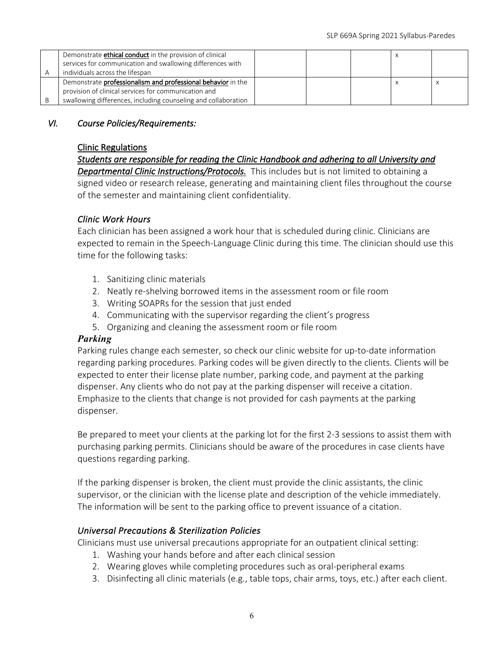| Demonstrate <b>ethical conduct</b> in the provision of clinical<br>services for communication and swallowing differences with |  |  |  |  |
|-------------------------------------------------------------------------------------------------------------------------------|--|--|--|--|
| individuals across the lifespan                                                                                               |  |  |  |  |
| Demonstrate professionalism and professional behavior in the                                                                  |  |  |  |  |
| provision of clinical services for communication and                                                                          |  |  |  |  |
| swallowing differences, including counseling and collaboration                                                                |  |  |  |  |

### *VI. Course Policies/Requirements:*

#### Clinic Regulations

*Students are responsible for reading the Clinic Handbook and adhering to all University and Departmental Clinic Instructions/Protocols.* This includes but is not limited to obtaining a signed video or research release, generating and maintaining client files throughout the course of the semester and maintaining client confidentiality.

### *Clinic Work Hours*

Each clinician has been assigned a work hour that is scheduled during clinic. Clinicians are expected to remain in the Speech-Language Clinic during this time. The clinician should use this time for the following tasks:

- 1. Sanitizing clinic materials
- 2. Neatly re-shelving borrowed items in the assessment room or file room
- 3. Writing SOAPRs for the session that just ended
- 4. Communicating with the supervisor regarding the client's progress
- 5. Organizing and cleaning the assessment room or file room

#### *Parking*

Parking rules change each semester, so check our clinic website for up-to-date information regarding parking procedures. Parking codes will be given directly to the clients. Clients will be expected to enter their license plate number, parking code, and payment at the parking dispenser. Any clients who do not pay at the parking dispenser will receive a citation. Emphasize to the clients that change is not provided for cash payments at the parking dispenser.

Be prepared to meet your clients at the parking lot for the first 2-3 sessions to assist them with purchasing parking permits. Clinicians should be aware of the procedures in case clients have questions regarding parking.

If the parking dispenser is broken, the client must provide the clinic assistants, the clinic supervisor, or the clinician with the license plate and description of the vehicle immediately. The information will be sent to the parking office to prevent issuance of a citation.

#### *Universal Precautions & Sterilization Policies*

Clinicians must use universal precautions appropriate for an outpatient clinical setting:

- 1. Washing your hands before and after each clinical session
- 2. Wearing gloves while completing procedures such as oral-peripheral exams
- 3. Disinfecting all clinic materials (e.g., table tops, chair arms, toys, etc.) after each client.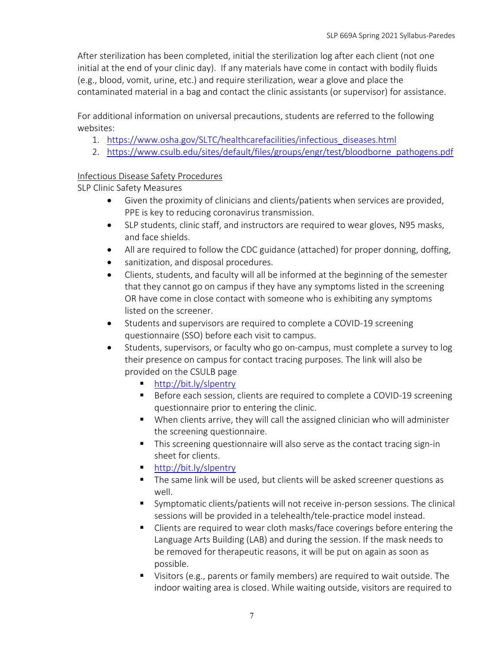After sterilization has been completed, initial the sterilization log after each client (not one initial at the end of your clinic day). If any materials have come in contact with bodily fluids (e.g., blood, vomit, urine, etc.) and require sterilization, wear a glove and place the contaminated material in a bag and contact the clinic assistants (or supervisor) for assistance.

For additional information on universal precautions, students are referred to the following websites:

- 1. https://www.osha.gov/SLTC/healthcarefacilities/infectious\_diseases.html
- 2. https://www.csulb.edu/sites/default/files/groups/engr/test/bloodborne\_pathogens.pdf

### Infectious Disease Safety Procedures

SLP Clinic Safety Measures

- Given the proximity of clinicians and clients/patients when services are provided, PPE is key to reducing coronavirus transmission.
- SLP students, clinic staff, and instructors are required to wear gloves, N95 masks, and face shields.
- All are required to follow the CDC guidance (attached) for proper donning, doffing,
- sanitization, and disposal procedures.
- Clients, students, and faculty will all be informed at the beginning of the semester that they cannot go on campus if they have any symptoms listed in the screening OR have come in close contact with someone who is exhibiting any symptoms listed on the screener.
- Students and supervisors are required to complete a COVID-19 screening questionnaire (SSO) before each visit to campus.
- Students, supervisors, or faculty who go on-campus, must complete a survey to log their presence on campus for contact tracing purposes. The link will also be provided on the CSULB page
	- http://bit.ly/slpentry
	- Before each session, clients are required to complete a COVID-19 screening questionnaire prior to entering the clinic.
	- When clients arrive, they will call the assigned clinician who will administer the screening questionnaire.
	- This screening questionnaire will also serve as the contact tracing sign-in sheet for clients.
	- http://bit.ly/slpentry
	- The same link will be used, but clients will be asked screener questions as well.
	- § Symptomatic clients/patients will not receive in-person sessions. The clinical sessions will be provided in a telehealth/tele-practice model instead.
	- Clients are required to wear cloth masks/face coverings before entering the Language Arts Building (LAB) and during the session. If the mask needs to be removed for therapeutic reasons, it will be put on again as soon as possible.
	- Visitors (e.g., parents or family members) are required to wait outside. The indoor waiting area is closed. While waiting outside, visitors are required to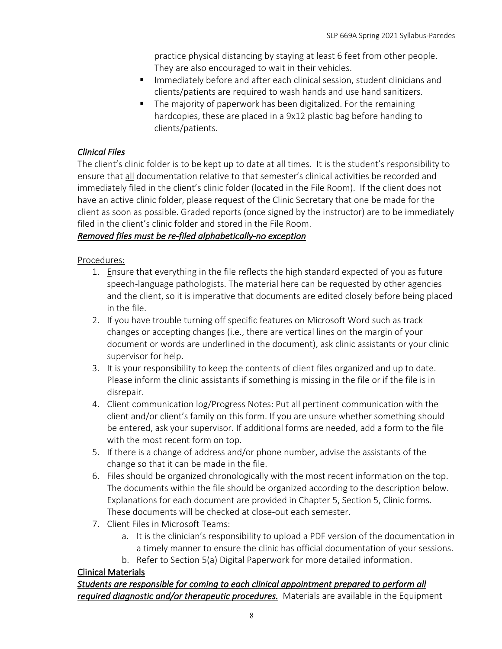practice physical distancing by staying at least 6 feet from other people. They are also encouraged to wait in their vehicles.

- Immediately before and after each clinical session, student clinicians and clients/patients are required to wash hands and use hand sanitizers.
- The majority of paperwork has been digitalized. For the remaining hardcopies, these are placed in a 9x12 plastic bag before handing to clients/patients.

### *Clinical Files*

The client's clinic folder is to be kept up to date at all times. It is the student's responsibility to ensure that all documentation relative to that semester's clinical activities be recorded and immediately filed in the client's clinic folder (located in the File Room). If the client does not have an active clinic folder, please request of the Clinic Secretary that one be made for the client as soon as possible. Graded reports (once signed by the instructor) are to be immediately filed in the client's clinic folder and stored in the File Room.

### *Removed files must be re-filed alphabetically-no exception*

### Procedures:

- 1. Ensure that everything in the file reflects the high standard expected of you as future speech-language pathologists. The material here can be requested by other agencies and the client, so it is imperative that documents are edited closely before being placed in the file.
- 2. If you have trouble turning off specific features on Microsoft Word such as track changes or accepting changes (i.e., there are vertical lines on the margin of your document or words are underlined in the document), ask clinic assistants or your clinic supervisor for help.
- 3. It is your responsibility to keep the contents of client files organized and up to date. Please inform the clinic assistants if something is missing in the file or if the file is in disrepair.
- 4. Client communication log/Progress Notes: Put all pertinent communication with the client and/or client's family on this form. If you are unsure whether something should be entered, ask your supervisor. If additional forms are needed, add a form to the file with the most recent form on top.
- 5. If there is a change of address and/or phone number, advise the assistants of the change so that it can be made in the file.
- 6. Files should be organized chronologically with the most recent information on the top. The documents within the file should be organized according to the description below. Explanations for each document are provided in Chapter 5, Section 5, Clinic forms. These documents will be checked at close-out each semester.
- 7. Client Files in Microsoft Teams:
	- a. It is the clinician's responsibility to upload a PDF version of the documentation in a timely manner to ensure the clinic has official documentation of your sessions.
	- b. Refer to Section 5(a) Digital Paperwork for more detailed information.

### Clinical Materials

*Students are responsible for coming to each clinical appointment prepared to perform all required diagnostic and/or therapeutic procedures.* Materials are available in the Equipment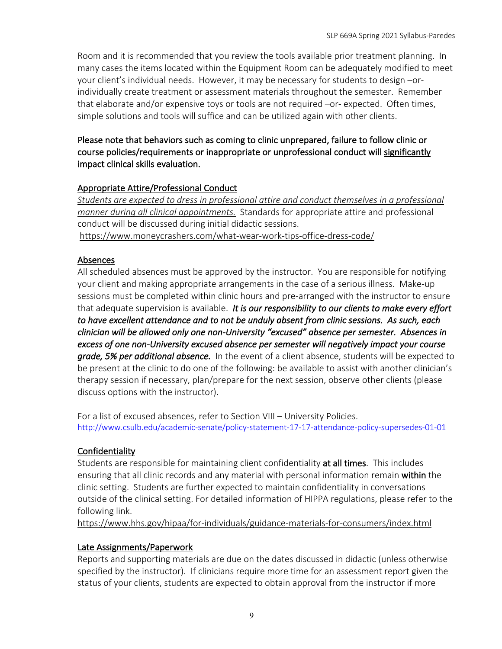Room and it is recommended that you review the tools available prior treatment planning. In many cases the items located within the Equipment Room can be adequately modified to meet your client's individual needs. However, it may be necessary for students to design –orindividually create treatment or assessment materials throughout the semester. Remember that elaborate and/or expensive toys or tools are not required –or- expected. Often times, simple solutions and tools will suffice and can be utilized again with other clients.

### Please note that behaviors such as coming to clinic unprepared, failure to follow clinic or course policies/requirements or inappropriate or unprofessional conduct will significantly impact clinical skills evaluation.

### Appropriate Attire/Professional Conduct

*Students are expected to dress in professional attire and conduct themselves in a professional manner during all clinical appointments.* Standards for appropriate attire and professional conduct will be discussed during initial didactic sessions. https://www.moneycrashers.com/what-wear-work-tips-office-dress-code/

### Absences

All scheduled absences must be approved by the instructor. You are responsible for notifying your client and making appropriate arrangements in the case of a serious illness. Make-up sessions must be completed within clinic hours and pre-arranged with the instructor to ensure that adequate supervision is available. *It is our responsibility to our clients to make every effort to have excellent attendance and to not be unduly absent from clinic sessions. As such, each clinician will be allowed only one non-University "excused" absence per semester. Absences in excess of one non-University excused absence per semester will negatively impact your course grade, 5% per additional absence.* In the event of a client absence, students will be expected to be present at the clinic to do one of the following: be available to assist with another clinician's therapy session if necessary, plan/prepare for the next session, observe other clients (please discuss options with the instructor).

For a list of excused absences, refer to Section VIII – University Policies. http://www.csulb.edu/academic-senate/policy-statement-17-17-attendance-policy-supersedes-01-01

## Confidentiality

Students are responsible for maintaining client confidentiality at all times. This includes ensuring that all clinic records and any material with personal information remain within the clinic setting. Students are further expected to maintain confidentiality in conversations outside of the clinical setting. For detailed information of HIPPA regulations, please refer to the following link.

https://www.hhs.gov/hipaa/for-individuals/guidance-materials-for-consumers/index.html

### Late Assignments/Paperwork

Reports and supporting materials are due on the dates discussed in didactic (unless otherwise specified by the instructor). If clinicians require more time for an assessment report given the status of your clients, students are expected to obtain approval from the instructor if more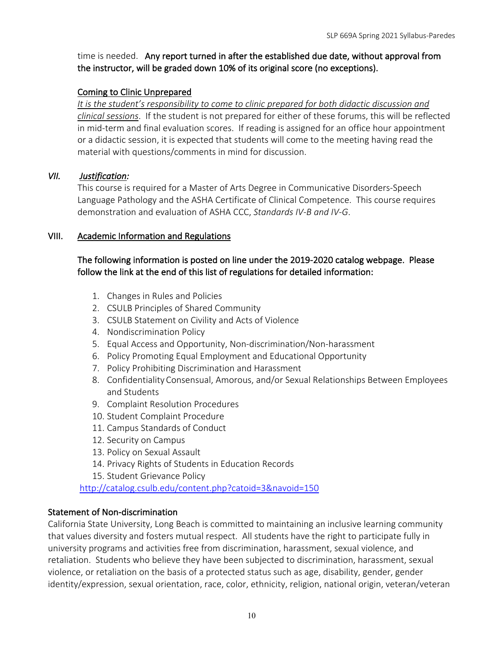time is needed. Any report turned in after the established due date, without approval from the instructor, will be graded down 10% of its original score (no exceptions).

### Coming to Clinic Unprepared

*It is the student's responsibility to come to clinic prepared for both didactic discussion and clinical sessions*. If the student is not prepared for either of these forums, this will be reflected in mid-term and final evaluation scores. If reading is assigned for an office hour appointment or a didactic session, it is expected that students will come to the meeting having read the material with questions/comments in mind for discussion.

### *VII. Justification:*

This course is required for a Master of Arts Degree in Communicative Disorders-Speech Language Pathology and the ASHA Certificate of Clinical Competence. This course requires demonstration and evaluation of ASHA CCC, *Standards IV-B and IV-G*.

### VIII. Academic Information and Regulations

### The following information is posted on line under the 2019-2020 catalog webpage. Please follow the link at the end of this list of regulations for detailed information:

- 1. Changes in Rules and Policies
- 2. CSULB Principles of Shared Community
- 3. CSULB Statement on Civility and Acts of Violence
- 4. Nondiscrimination Policy
- 5. Equal Access and Opportunity, Non-discrimination/Non-harassment
- 6. Policy Promoting Equal Employment and Educational Opportunity
- 7. Policy Prohibiting Discrimination and Harassment
- 8. Confidentiality Consensual, Amorous, and/or Sexual Relationships Between Employees and Students
- 9. Complaint Resolution Procedures
- 10. Student Complaint Procedure
- 11. Campus Standards of Conduct
- 12. Security on Campus
- 13. Policy on Sexual Assault
- 14. Privacy Rights of Students in Education Records
- 15. Student Grievance Policy

http://catalog.csulb.edu/content.php?catoid=3&navoid=150

#### Statement of Non-discrimination

California State University, Long Beach is committed to maintaining an inclusive learning community that values diversity and fosters mutual respect. All students have the right to participate fully in university programs and activities free from discrimination, harassment, sexual violence, and retaliation. Students who believe they have been subjected to discrimination, harassment, sexual violence, or retaliation on the basis of a protected status such as age, disability, gender, gender identity/expression, sexual orientation, race, color, ethnicity, religion, national origin, veteran/veteran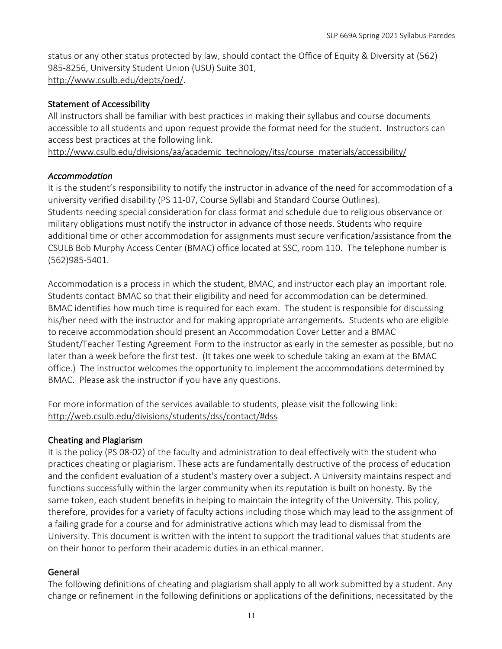status or any other status protected by law, should contact the Office of Equity & Diversity at (562) 985-8256, University Student Union (USU) Suite 301, http://www.csulb.edu/depts/oed/.

### Statement of Accessibility

All instructors shall be familiar with best practices in making their syllabus and course documents accessible to all students and upon request provide the format need for the student. Instructors can access best practices at the following link.

http://www.csulb.edu/divisions/aa/academic\_technology/itss/course\_materials/accessibility/

### *Accommodation*

It is the student's responsibility to notify the instructor in advance of the need for accommodation of a university verified disability (PS 11-07, Course Syllabi and Standard Course Outlines). Students needing special consideration for class format and schedule due to religious observance or military obligations must notify the instructor in advance of those needs. Students who require additional time or other accommodation for assignments must secure verification/assistance from the CSULB Bob Murphy Access Center (BMAC) office located at SSC, room 110. The telephone number is (562)985-5401.

Accommodation is a process in which the student, BMAC, and instructor each play an important role. Students contact BMAC so that their eligibility and need for accommodation can be determined. BMAC identifies how much time is required for each exam. The student is responsible for discussing his/her need with the instructor and for making appropriate arrangements. Students who are eligible to receive accommodation should present an Accommodation Cover Letter and a BMAC Student/Teacher Testing Agreement Form to the instructor as early in the semester as possible, but no later than a week before the first test. (It takes one week to schedule taking an exam at the BMAC office.) The instructor welcomes the opportunity to implement the accommodations determined by BMAC. Please ask the instructor if you have any questions.

For more information of the services available to students, please visit the following link: http://web.csulb.edu/divisions/students/dss/contact/#dss

#### Cheating and Plagiarism

It is the policy (PS 08-02) of the faculty and administration to deal effectively with the student who practices cheating or plagiarism. These acts are fundamentally destructive of the process of education and the confident evaluation of a student's mastery over a subject. A University maintains respect and functions successfully within the larger community when its reputation is built on honesty. By the same token, each student benefits in helping to maintain the integrity of the University. This policy, therefore, provides for a variety of faculty actions including those which may lead to the assignment of a failing grade for a course and for administrative actions which may lead to dismissal from the University. This document is written with the intent to support the traditional values that students are on their honor to perform their academic duties in an ethical manner.

#### General

The following definitions of cheating and plagiarism shall apply to all work submitted by a student. Any change or refinement in the following definitions or applications of the definitions, necessitated by the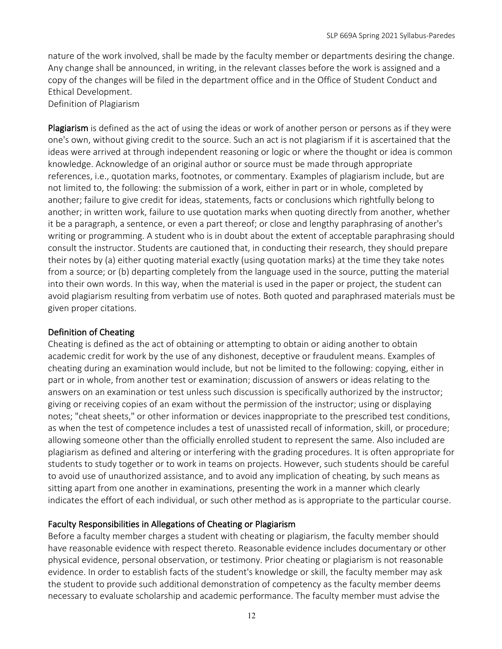nature of the work involved, shall be made by the faculty member or departments desiring the change. Any change shall be announced, in writing, in the relevant classes before the work is assigned and a copy of the changes will be filed in the department office and in the Office of Student Conduct and Ethical Development.

Definition of Plagiarism

Plagiarism is defined as the act of using the ideas or work of another person or persons as if they were one's own, without giving credit to the source. Such an act is not plagiarism if it is ascertained that the ideas were arrived at through independent reasoning or logic or where the thought or idea is common knowledge. Acknowledge of an original author or source must be made through appropriate references, i.e., quotation marks, footnotes, or commentary. Examples of plagiarism include, but are not limited to, the following: the submission of a work, either in part or in whole, completed by another; failure to give credit for ideas, statements, facts or conclusions which rightfully belong to another; in written work, failure to use quotation marks when quoting directly from another, whether it be a paragraph, a sentence, or even a part thereof; or close and lengthy paraphrasing of another's writing or programming. A student who is in doubt about the extent of acceptable paraphrasing should consult the instructor. Students are cautioned that, in conducting their research, they should prepare their notes by (a) either quoting material exactly (using quotation marks) at the time they take notes from a source; or (b) departing completely from the language used in the source, putting the material into their own words. In this way, when the material is used in the paper or project, the student can avoid plagiarism resulting from verbatim use of notes. Both quoted and paraphrased materials must be given proper citations.

#### Definition of Cheating

Cheating is defined as the act of obtaining or attempting to obtain or aiding another to obtain academic credit for work by the use of any dishonest, deceptive or fraudulent means. Examples of cheating during an examination would include, but not be limited to the following: copying, either in part or in whole, from another test or examination; discussion of answers or ideas relating to the answers on an examination or test unless such discussion is specifically authorized by the instructor; giving or receiving copies of an exam without the permission of the instructor; using or displaying notes; "cheat sheets," or other information or devices inappropriate to the prescribed test conditions, as when the test of competence includes a test of unassisted recall of information, skill, or procedure; allowing someone other than the officially enrolled student to represent the same. Also included are plagiarism as defined and altering or interfering with the grading procedures. It is often appropriate for students to study together or to work in teams on projects. However, such students should be careful to avoid use of unauthorized assistance, and to avoid any implication of cheating, by such means as sitting apart from one another in examinations, presenting the work in a manner which clearly indicates the effort of each individual, or such other method as is appropriate to the particular course.

#### Faculty Responsibilities in Allegations of Cheating or Plagiarism

Before a faculty member charges a student with cheating or plagiarism, the faculty member should have reasonable evidence with respect thereto. Reasonable evidence includes documentary or other physical evidence, personal observation, or testimony. Prior cheating or plagiarism is not reasonable evidence. In order to establish facts of the student's knowledge or skill, the faculty member may ask the student to provide such additional demonstration of competency as the faculty member deems necessary to evaluate scholarship and academic performance. The faculty member must advise the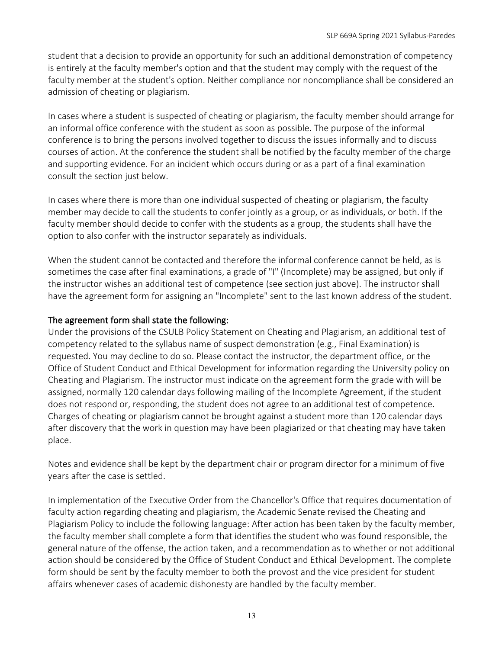student that a decision to provide an opportunity for such an additional demonstration of competency is entirely at the faculty member's option and that the student may comply with the request of the faculty member at the student's option. Neither compliance nor noncompliance shall be considered an admission of cheating or plagiarism.

In cases where a student is suspected of cheating or plagiarism, the faculty member should arrange for an informal office conference with the student as soon as possible. The purpose of the informal conference is to bring the persons involved together to discuss the issues informally and to discuss courses of action. At the conference the student shall be notified by the faculty member of the charge and supporting evidence. For an incident which occurs during or as a part of a final examination consult the section just below.

In cases where there is more than one individual suspected of cheating or plagiarism, the faculty member may decide to call the students to confer jointly as a group, or as individuals, or both. If the faculty member should decide to confer with the students as a group, the students shall have the option to also confer with the instructor separately as individuals.

When the student cannot be contacted and therefore the informal conference cannot be held, as is sometimes the case after final examinations, a grade of "I" (Incomplete) may be assigned, but only if the instructor wishes an additional test of competence (see section just above). The instructor shall have the agreement form for assigning an "Incomplete" sent to the last known address of the student.

#### The agreement form shall state the following:

Under the provisions of the CSULB Policy Statement on Cheating and Plagiarism, an additional test of competency related to the syllabus name of suspect demonstration (e.g., Final Examination) is requested. You may decline to do so. Please contact the instructor, the department office, or the Office of Student Conduct and Ethical Development for information regarding the University policy on Cheating and Plagiarism. The instructor must indicate on the agreement form the grade with will be assigned, normally 120 calendar days following mailing of the Incomplete Agreement, if the student does not respond or, responding, the student does not agree to an additional test of competence. Charges of cheating or plagiarism cannot be brought against a student more than 120 calendar days after discovery that the work in question may have been plagiarized or that cheating may have taken place.

Notes and evidence shall be kept by the department chair or program director for a minimum of five years after the case is settled.

In implementation of the Executive Order from the Chancellor's Office that requires documentation of faculty action regarding cheating and plagiarism, the Academic Senate revised the Cheating and Plagiarism Policy to include the following language: After action has been taken by the faculty member, the faculty member shall complete a form that identifies the student who was found responsible, the general nature of the offense, the action taken, and a recommendation as to whether or not additional action should be considered by the Office of Student Conduct and Ethical Development. The complete form should be sent by the faculty member to both the provost and the vice president for student affairs whenever cases of academic dishonesty are handled by the faculty member.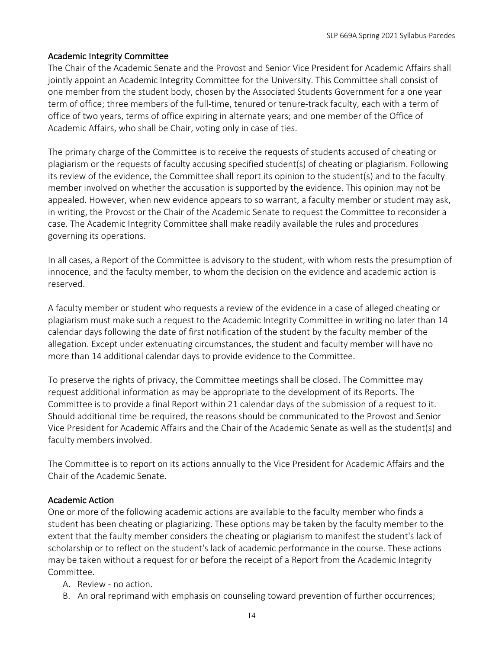#### Academic Integrity Committee

The Chair of the Academic Senate and the Provost and Senior Vice President for Academic Affairs shall jointly appoint an Academic Integrity Committee for the University. This Committee shall consist of one member from the student body, chosen by the Associated Students Government for a one year term of office; three members of the full-time, tenured or tenure-track faculty, each with a term of office of two years, terms of office expiring in alternate years; and one member of the Office of Academic Affairs, who shall be Chair, voting only in case of ties.

The primary charge of the Committee is to receive the requests of students accused of cheating or plagiarism or the requests of faculty accusing specified student(s) of cheating or plagiarism. Following its review of the evidence, the Committee shall report its opinion to the student(s) and to the faculty member involved on whether the accusation is supported by the evidence. This opinion may not be appealed. However, when new evidence appears to so warrant, a faculty member or student may ask, in writing, the Provost or the Chair of the Academic Senate to request the Committee to reconsider a case. The Academic Integrity Committee shall make readily available the rules and procedures governing its operations.

In all cases, a Report of the Committee is advisory to the student, with whom rests the presumption of innocence, and the faculty member, to whom the decision on the evidence and academic action is reserved.

A faculty member or student who requests a review of the evidence in a case of alleged cheating or plagiarism must make such a request to the Academic Integrity Committee in writing no later than 14 calendar days following the date of first notification of the student by the faculty member of the allegation. Except under extenuating circumstances, the student and faculty member will have no more than 14 additional calendar days to provide evidence to the Committee.

To preserve the rights of privacy, the Committee meetings shall be closed. The Committee may request additional information as may be appropriate to the development of its Reports. The Committee is to provide a final Report within 21 calendar days of the submission of a request to it. Should additional time be required, the reasons should be communicated to the Provost and Senior Vice President for Academic Affairs and the Chair of the Academic Senate as well as the student(s) and faculty members involved.

The Committee is to report on its actions annually to the Vice President for Academic Affairs and the Chair of the Academic Senate.

#### Academic Action

One or more of the following academic actions are available to the faculty member who finds a student has been cheating or plagiarizing. These options may be taken by the faculty member to the extent that the faulty member considers the cheating or plagiarism to manifest the student's lack of scholarship or to reflect on the student's lack of academic performance in the course. These actions may be taken without a request for or before the receipt of a Report from the Academic Integrity Committee.

- A. Review no action.
- B. An oral reprimand with emphasis on counseling toward prevention of further occurrences;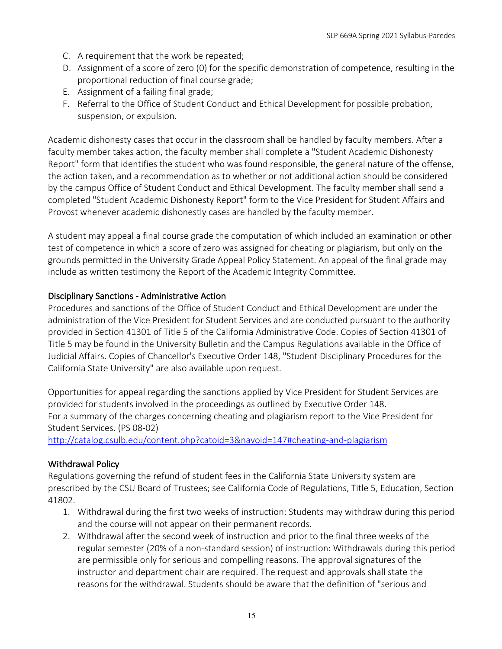- C. A requirement that the work be repeated;
- D. Assignment of a score of zero (0) for the specific demonstration of competence, resulting in the proportional reduction of final course grade;
- E. Assignment of a failing final grade;
- F. Referral to the Office of Student Conduct and Ethical Development for possible probation, suspension, or expulsion.

Academic dishonesty cases that occur in the classroom shall be handled by faculty members. After a faculty member takes action, the faculty member shall complete a "Student Academic Dishonesty Report" form that identifies the student who was found responsible, the general nature of the offense, the action taken, and a recommendation as to whether or not additional action should be considered by the campus Office of Student Conduct and Ethical Development. The faculty member shall send a completed "Student Academic Dishonesty Report" form to the Vice President for Student Affairs and Provost whenever academic dishonestly cases are handled by the faculty member.

A student may appeal a final course grade the computation of which included an examination or other test of competence in which a score of zero was assigned for cheating or plagiarism, but only on the grounds permitted in the University Grade Appeal Policy Statement. An appeal of the final grade may include as written testimony the Report of the Academic Integrity Committee.

### Disciplinary Sanctions - Administrative Action

Procedures and sanctions of the Office of Student Conduct and Ethical Development are under the administration of the Vice President for Student Services and are conducted pursuant to the authority provided in Section 41301 of Title 5 of the California Administrative Code. Copies of Section 41301 of Title 5 may be found in the University Bulletin and the Campus Regulations available in the Office of Judicial Affairs. Copies of Chancellor's Executive Order 148, "Student Disciplinary Procedures for the California State University" are also available upon request.

Opportunities for appeal regarding the sanctions applied by Vice President for Student Services are provided for students involved in the proceedings as outlined by Executive Order 148. For a summary of the charges concerning cheating and plagiarism report to the Vice President for Student Services. (PS 08-02)

http://catalog.csulb.edu/content.php?catoid=3&navoid=147#cheating-and-plagiarism

### Withdrawal Policy

Regulations governing the refund of student fees in the California State University system are prescribed by the CSU Board of Trustees; see California Code of Regulations, Title 5, Education, Section 41802.

- 1. Withdrawal during the first two weeks of instruction: Students may withdraw during this period and the course will not appear on their permanent records.
- 2. Withdrawal after the second week of instruction and prior to the final three weeks of the regular semester (20% of a non-standard session) of instruction: Withdrawals during this period are permissible only for serious and compelling reasons. The approval signatures of the instructor and department chair are required. The request and approvals shall state the reasons for the withdrawal. Students should be aware that the definition of "serious and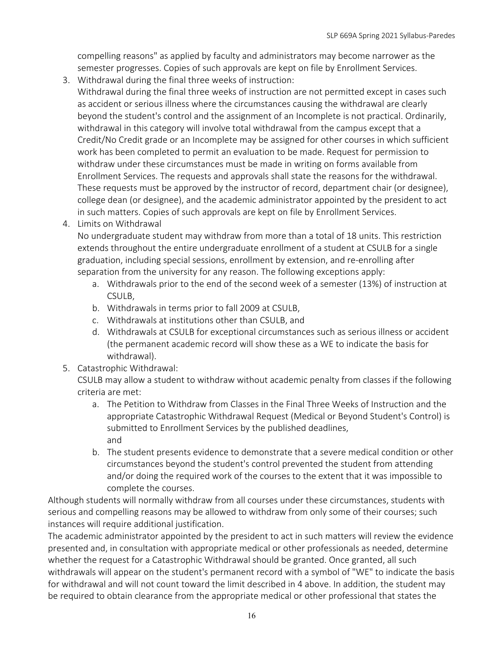compelling reasons" as applied by faculty and administrators may become narrower as the semester progresses. Copies of such approvals are kept on file by Enrollment Services.

3. Withdrawal during the final three weeks of instruction:

Withdrawal during the final three weeks of instruction are not permitted except in cases such as accident or serious illness where the circumstances causing the withdrawal are clearly beyond the student's control and the assignment of an Incomplete is not practical. Ordinarily, withdrawal in this category will involve total withdrawal from the campus except that a Credit/No Credit grade or an Incomplete may be assigned for other courses in which sufficient work has been completed to permit an evaluation to be made. Request for permission to withdraw under these circumstances must be made in writing on forms available from Enrollment Services. The requests and approvals shall state the reasons for the withdrawal. These requests must be approved by the instructor of record, department chair (or designee), college dean (or designee), and the academic administrator appointed by the president to act in such matters. Copies of such approvals are kept on file by Enrollment Services.

4. Limits on Withdrawal

No undergraduate student may withdraw from more than a total of 18 units. This restriction extends throughout the entire undergraduate enrollment of a student at CSULB for a single graduation, including special sessions, enrollment by extension, and re-enrolling after separation from the university for any reason. The following exceptions apply:

- a. Withdrawals prior to the end of the second week of a semester (13%) of instruction at CSULB,
- b. Withdrawals in terms prior to fall 2009 at CSULB,
- c. Withdrawals at institutions other than CSULB, and
- d. Withdrawals at CSULB for exceptional circumstances such as serious illness or accident (the permanent academic record will show these as a WE to indicate the basis for withdrawal).
- 5. Catastrophic Withdrawal:

CSULB may allow a student to withdraw without academic penalty from classes if the following criteria are met:

- a. The Petition to Withdraw from Classes in the Final Three Weeks of Instruction and the appropriate Catastrophic Withdrawal Request (Medical or Beyond Student's Control) is submitted to Enrollment Services by the published deadlines, and
- b. The student presents evidence to demonstrate that a severe medical condition or other circumstances beyond the student's control prevented the student from attending and/or doing the required work of the courses to the extent that it was impossible to complete the courses.

Although students will normally withdraw from all courses under these circumstances, students with serious and compelling reasons may be allowed to withdraw from only some of their courses; such instances will require additional justification.

The academic administrator appointed by the president to act in such matters will review the evidence presented and, in consultation with appropriate medical or other professionals as needed, determine whether the request for a Catastrophic Withdrawal should be granted. Once granted, all such withdrawals will appear on the student's permanent record with a symbol of "WE" to indicate the basis for withdrawal and will not count toward the limit described in 4 above. In addition, the student may be required to obtain clearance from the appropriate medical or other professional that states the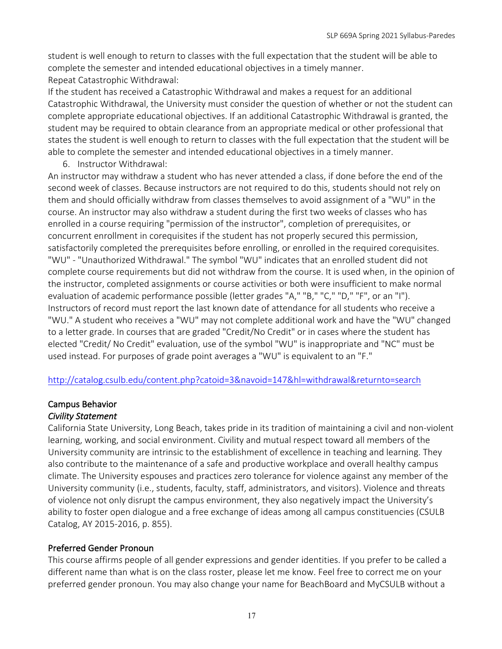student is well enough to return to classes with the full expectation that the student will be able to complete the semester and intended educational objectives in a timely manner. Repeat Catastrophic Withdrawal:

If the student has received a Catastrophic Withdrawal and makes a request for an additional Catastrophic Withdrawal, the University must consider the question of whether or not the student can complete appropriate educational objectives. If an additional Catastrophic Withdrawal is granted, the student may be required to obtain clearance from an appropriate medical or other professional that states the student is well enough to return to classes with the full expectation that the student will be able to complete the semester and intended educational objectives in a timely manner.

6. Instructor Withdrawal:

An instructor may withdraw a student who has never attended a class, if done before the end of the second week of classes. Because instructors are not required to do this, students should not rely on them and should officially withdraw from classes themselves to avoid assignment of a "WU" in the course. An instructor may also withdraw a student during the first two weeks of classes who has enrolled in a course requiring "permission of the instructor", completion of prerequisites, or concurrent enrollment in corequisites if the student has not properly secured this permission, satisfactorily completed the prerequisites before enrolling, or enrolled in the required corequisites. "WU" - "Unauthorized Withdrawal." The symbol "WU" indicates that an enrolled student did not complete course requirements but did not withdraw from the course. It is used when, in the opinion of the instructor, completed assignments or course activities or both were insufficient to make normal evaluation of academic performance possible (letter grades "A," "B," "C," "D," "F", or an "I"). Instructors of record must report the last known date of attendance for all students who receive a "WU." A student who receives a "WU" may not complete additional work and have the "WU" changed to a letter grade. In courses that are graded "Credit/No Credit" or in cases where the student has elected "Credit/ No Credit" evaluation, use of the symbol "WU" is inappropriate and "NC" must be used instead. For purposes of grade point averages a "WU" is equivalent to an "F."

http://catalog.csulb.edu/content.php?catoid=3&navoid=147&hl=withdrawal&returnto=search

#### Campus Behavior *Civility Statement*

California State University, Long Beach, takes pride in its tradition of maintaining a civil and non-violent learning, working, and social environment. Civility and mutual respect toward all members of the University community are intrinsic to the establishment of excellence in teaching and learning. They also contribute to the maintenance of a safe and productive workplace and overall healthy campus climate. The University espouses and practices zero tolerance for violence against any member of the University community (i.e., students, faculty, staff, administrators, and visitors). Violence and threats of violence not only disrupt the campus environment, they also negatively impact the University's ability to foster open dialogue and a free exchange of ideas among all campus constituencies (CSULB Catalog, AY 2015-2016, p. 855).

### Preferred Gender Pronoun

This course affirms people of all gender expressions and gender identities. If you prefer to be called a different name than what is on the class roster, please let me know. Feel free to correct me on your preferred gender pronoun. You may also change your name for BeachBoard and MyCSULB without a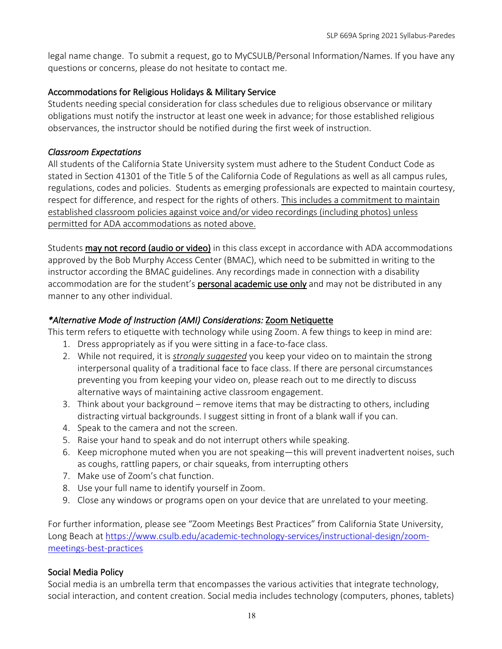legal name change. To submit a request, go to MyCSULB/Personal Information/Names. If you have any questions or concerns, please do not hesitate to contact me.

### Accommodations for Religious Holidays & Military Service

Students needing special consideration for class schedules due to religious observance or military obligations must notify the instructor at least one week in advance; for those established religious observances, the instructor should be notified during the first week of instruction.

#### *Classroom Expectations*

All students of the California State University system must adhere to the Student Conduct Code as stated in Section 41301 of the Title 5 of the California Code of Regulations as well as all campus rules, regulations, codes and policies. Students as emerging professionals are expected to maintain courtesy, respect for difference, and respect for the rights of others. This includes a commitment to maintain established classroom policies against voice and/or video recordings (including photos) unless permitted for ADA accommodations as noted above.

Students may not record (audio or video) in this class except in accordance with ADA accommodations approved by the Bob Murphy Access Center (BMAC), which need to be submitted in writing to the instructor according the BMAC guidelines. Any recordings made in connection with a disability accommodation are for the student's personal academic use only and may not be distributed in any manner to any other individual.

### *\*Alternative Mode of Instruction (AMI) Considerations:* Zoom Netiquette

This term refers to etiquette with technology while using Zoom. A few things to keep in mind are:

- 1. Dress appropriately as if you were sitting in a face-to-face class.
- 2. While not required, it is *strongly suggested* you keep your video on to maintain the strong interpersonal quality of a traditional face to face class. If there are personal circumstances preventing you from keeping your video on, please reach out to me directly to discuss alternative ways of maintaining active classroom engagement.
- 3. Think about your background remove items that may be distracting to others, including distracting virtual backgrounds. I suggest sitting in front of a blank wall if you can.
- 4. Speak to the camera and not the screen.
- 5. Raise your hand to speak and do not interrupt others while speaking.
- 6. Keep microphone muted when you are not speaking—this will prevent inadvertent noises, such as coughs, rattling papers, or chair squeaks, from interrupting others
- 7. Make use of Zoom's chat function.
- 8. Use your full name to identify yourself in Zoom.
- 9. Close any windows or programs open on your device that are unrelated to your meeting.

For further information, please see "Zoom Meetings Best Practices" from California State University, Long Beach at https://www.csulb.edu/academic-technology-services/instructional-design/zoommeetings-best-practices

#### Social Media Policy

Social media is an umbrella term that encompasses the various activities that integrate technology, social interaction, and content creation. Social media includes technology (computers, phones, tablets)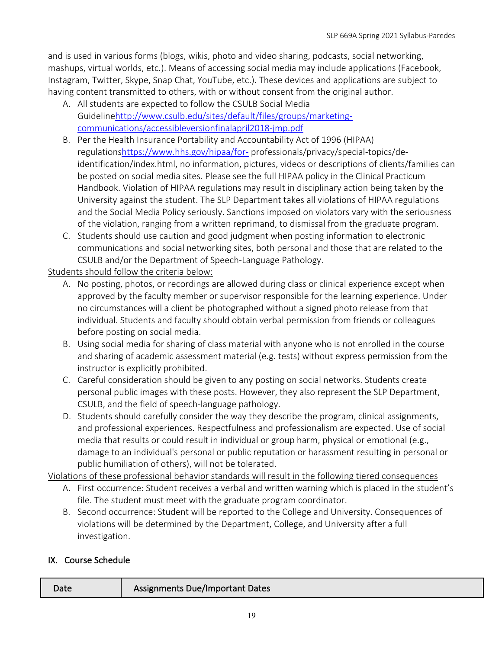and is used in various forms (blogs, wikis, photo and video sharing, podcasts, social networking, mashups, virtual worlds, etc.). Means of accessing social media may include applications (Facebook, Instagram, Twitter, Skype, Snap Chat, YouTube, etc.). These devices and applications are subject to having content transmitted to others, with or without consent from the original author.

- A. All students are expected to follow the CSULB Social Media Guidelinehttp://www.csulb.edu/sites/default/files/groups/marketingcommunications/accessibleversionfinalapril2018-jmp.pdf
- B. Per the Health Insurance Portability and Accountability Act of 1996 (HIPAA) regulationshttps://www.hhs.gov/hipaa/for- professionals/privacy/special-topics/deidentification/index.html, no information, pictures, videos or descriptions of clients/families can be posted on social media sites. Please see the full HIPAA policy in the Clinical Practicum Handbook. Violation of HIPAA regulations may result in disciplinary action being taken by the University against the student. The SLP Department takes all violations of HIPAA regulations and the Social Media Policy seriously. Sanctions imposed on violators vary with the seriousness of the violation, ranging from a written reprimand, to dismissal from the graduate program.
- C. Students should use caution and good judgment when posting information to electronic communications and social networking sites, both personal and those that are related to the CSULB and/or the Department of Speech-Language Pathology.

Students should follow the criteria below:

- A. No posting, photos, or recordings are allowed during class or clinical experience except when approved by the faculty member or supervisor responsible for the learning experience. Under no circumstances will a client be photographed without a signed photo release from that individual. Students and faculty should obtain verbal permission from friends or colleagues before posting on social media.
- B. Using social media for sharing of class material with anyone who is not enrolled in the course and sharing of academic assessment material (e.g. tests) without express permission from the instructor is explicitly prohibited.
- C. Careful consideration should be given to any posting on social networks. Students create personal public images with these posts. However, they also represent the SLP Department, CSULB, and the field of speech-language pathology.
- D. Students should carefully consider the way they describe the program, clinical assignments, and professional experiences. Respectfulness and professionalism are expected. Use of social media that results or could result in individual or group harm, physical or emotional (e.g., damage to an individual's personal or public reputation or harassment resulting in personal or public humiliation of others), will not be tolerated.

Violations of these professional behavior standards will result in the following tiered consequences

- A. First occurrence: Student receives a verbal and written warning which is placed in the student's file. The student must meet with the graduate program coordinator.
- B. Second occurrence: Student will be reported to the College and University. Consequences of violations will be determined by the Department, College, and University after a full investigation.

## IX. Course Schedule

| <b>Assignments Due/Important Dates</b><br>Date |
|------------------------------------------------|
|------------------------------------------------|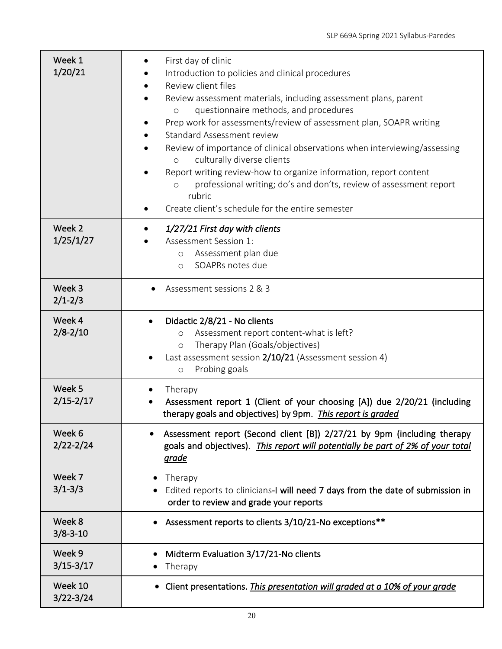| Week 1<br>1/20/21        | First day of clinic<br>Introduction to policies and clinical procedures<br>Review client files<br>Review assessment materials, including assessment plans, parent<br>questionnaire methods, and procedures<br>$\circ$<br>Prep work for assessments/review of assessment plan, SOAPR writing<br>Standard Assessment review<br>Review of importance of clinical observations when interviewing/assessing<br>culturally diverse clients<br>$\circ$<br>Report writing review-how to organize information, report content<br>professional writing; do's and don'ts, review of assessment report<br>$\circ$<br>rubric<br>Create client's schedule for the entire semester |
|--------------------------|---------------------------------------------------------------------------------------------------------------------------------------------------------------------------------------------------------------------------------------------------------------------------------------------------------------------------------------------------------------------------------------------------------------------------------------------------------------------------------------------------------------------------------------------------------------------------------------------------------------------------------------------------------------------|
| Week 2<br>1/25/1/27      | 1/27/21 First day with clients<br>Assessment Session 1:<br>Assessment plan due<br>$\circ$<br>SOAPRs notes due<br>$\circ$                                                                                                                                                                                                                                                                                                                                                                                                                                                                                                                                            |
| Week 3<br>$2/1 - 2/3$    | Assessment sessions 2 & 3                                                                                                                                                                                                                                                                                                                                                                                                                                                                                                                                                                                                                                           |
| Week 4<br>$2/8 - 2/10$   | Didactic 2/8/21 - No clients<br>$\bullet$<br>Assessment report content-what is left?<br>$\circ$<br>Therapy Plan (Goals/objectives)<br>$\circ$<br>Last assessment session 2/10/21 (Assessment session 4)<br>Probing goals<br>$\circ$                                                                                                                                                                                                                                                                                                                                                                                                                                 |
| Week 5<br>$2/15 - 2/17$  | Therapy<br>Assessment report 1 (Client of your choosing [A]) due 2/20/21 (including<br>therapy goals and objectives) by 9pm. This report is graded                                                                                                                                                                                                                                                                                                                                                                                                                                                                                                                  |
| Week 6<br>$2/22 - 2/24$  | Assessment report (Second client [B]) 2/27/21 by 9pm (including therapy<br>goals and objectives). This report will potentially be part of 2% of your total<br>grade                                                                                                                                                                                                                                                                                                                                                                                                                                                                                                 |
| Week 7<br>$3/1 - 3/3$    | Therapy<br>Edited reports to clinicians-I will need 7 days from the date of submission in<br>order to review and grade your reports                                                                                                                                                                                                                                                                                                                                                                                                                                                                                                                                 |
| Week 8<br>$3/8 - 3 - 10$ | Assessment reports to clients 3/10/21-No exceptions**<br>$\bullet$                                                                                                                                                                                                                                                                                                                                                                                                                                                                                                                                                                                                  |
| Week 9<br>$3/15 - 3/17$  | Midterm Evaluation 3/17/21-No clients<br>Therapy                                                                                                                                                                                                                                                                                                                                                                                                                                                                                                                                                                                                                    |
| Week 10<br>$3/22 - 3/24$ | Client presentations. This presentation will graded at a 10% of your grade<br>٠                                                                                                                                                                                                                                                                                                                                                                                                                                                                                                                                                                                     |